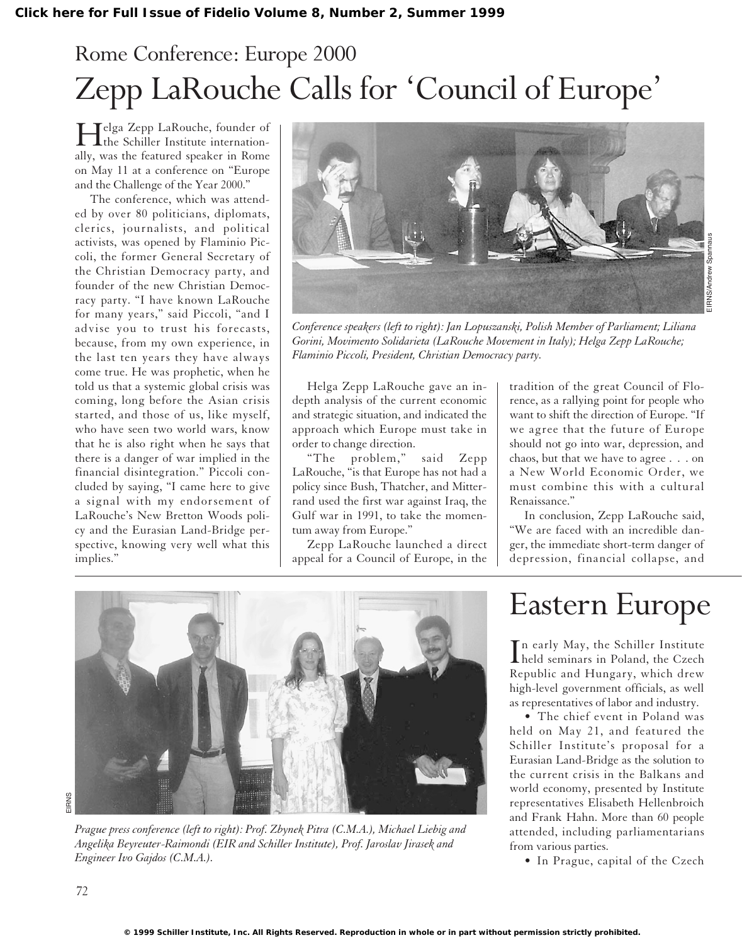# Rome Conference: Europe 2000 Zepp LaRouche Calls for 'Council of Europe'

Helga Zepp LaRouche, founder of the Schiller Institute internationally, was the featured speaker in Rome on May 11 at a conference on "Europe and the Challenge of the Year 2000."

The conference, which was attended by over 80 politicians, diplomats, clerics, journalists, and political activists, was opened by Flaminio Piccoli, the former General Secretary of the Christian Democracy party, and founder of the new Christian Democracy party. "I have known LaRouche for many years," said Piccoli, "and I advise you to trust his forecasts, because, from my own experience, in the last ten years they have always come true. He was prophetic, when he told us that a systemic global crisis was coming, long before the Asian crisis started, and those of us, like myself, who have seen two world wars, know that he is also right when he says that there is a danger of war implied in the financial disintegration." Piccoli concluded by saying, "I came here to give a signal with my endorsement of LaRouche's New Bretton Woods policy and the Eurasian Land-Bridge perspective, knowing very well what this implies."



*Conference speakers (left to right): Jan Lopuszanski, Polish Member of Parliament; Liliana Gorini, Movimento Solidarieta (LaRouche Movement in Italy); Helga Zepp LaRouche; Flaminio Piccoli, President, Christian Democracy party.*

Helga Zepp LaRouche gave an indepth analysis of the current economic and strategic situation, and indicated the approach which Europe must take in order to change direction.

"The problem," said Zepp LaRouche, "is that Europe has not had a policy since Bush, Thatcher, and Mitterrand used the first war against Iraq, the Gulf war in 1991, to take the momentum away from Europe."

Zepp LaRouche launched a direct appeal for a Council of Europe, in the

tradition of the great Council of Florence, as a rallying point for people who want to shift the direction of Europe. "If we agree that the future of Europe should not go into war, depression, and chaos, but that we have to agree . . . on a New World Economic Order, we must combine this with a cultural Renaissance."

In conclusion, Zepp LaRouche said, "We are faced with an incredible danger, the immediate short-term danger of depression, financial collapse, and



*Prague press conference (left to right): Prof. Zbynek Pitra (C.M.A.), Michael Liebig and Angelika Beyreuter-Raimondi (EIR and Schiller Institute), Prof. Jaroslav Jirasek and Engineer Ivo Gajdos (C.M.A.).*

# Eastern Europe

In early May, the Schiller Institute<br>held seminars in Poland, the Czech n early May, the Schiller Institute Republic and Hungary, which drew high-level government officials, as well as representatives of labor and industry.

• The chief event in Poland was held on May 21, and featured the Schiller Institute's proposal for a Eurasian Land-Bridge as the solution to the current crisis in the Balkans and world economy, presented by Institute representatives Elisabeth Hellenbroich and Frank Hahn. More than 60 people attended, including parliamentarians from various parties.

• In Prague, capital of the Czech